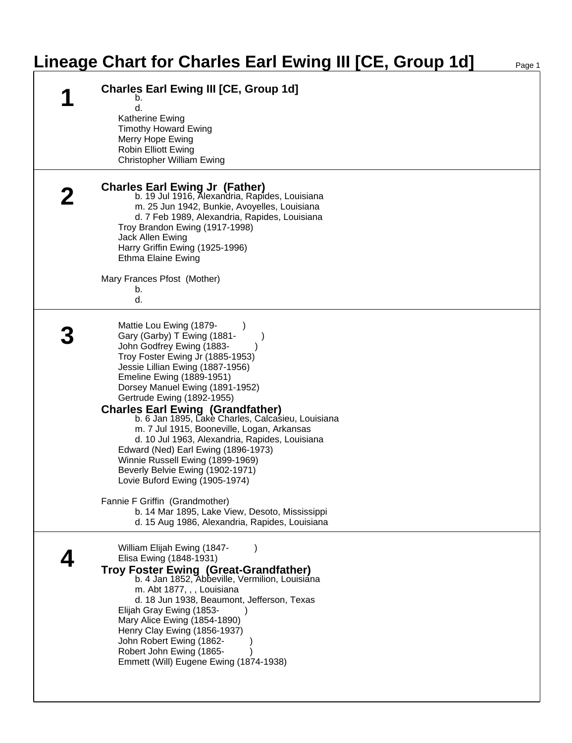## **Lineage Chart for Charles Earl Ewing III [CE, Group 1d]**

| <b>Charles Earl Ewing III [CE, Group 1d]</b><br>b.                                                                                                                                                                                                                                                                                                                                                                                                                                                                                                                                                                                                                                                                                        |
|-------------------------------------------------------------------------------------------------------------------------------------------------------------------------------------------------------------------------------------------------------------------------------------------------------------------------------------------------------------------------------------------------------------------------------------------------------------------------------------------------------------------------------------------------------------------------------------------------------------------------------------------------------------------------------------------------------------------------------------------|
| d.<br>Katherine Ewing<br><b>Timothy Howard Ewing</b><br>Merry Hope Ewing<br><b>Robin Elliott Ewing</b><br><b>Christopher William Ewing</b>                                                                                                                                                                                                                                                                                                                                                                                                                                                                                                                                                                                                |
| <b>Charles Earl Ewing Jr (Father)</b><br>b. 19 Jul 1916, Alexandria, Rapides, Louisiana<br>m. 25 Jun 1942, Bunkie, Avoyelles, Louisiana<br>d. 7 Feb 1989, Alexandria, Rapides, Louisiana<br>Troy Brandon Ewing (1917-1998)<br>Jack Allen Ewing<br>Harry Griffin Ewing (1925-1996)<br><b>Ethma Elaine Ewing</b><br>Mary Frances Pfost (Mother)                                                                                                                                                                                                                                                                                                                                                                                             |
| b.<br>d.                                                                                                                                                                                                                                                                                                                                                                                                                                                                                                                                                                                                                                                                                                                                  |
| Mattie Lou Ewing (1879-<br>Gary (Garby) T Ewing (1881-<br>John Godfrey Ewing (1883-<br>Troy Foster Ewing Jr (1885-1953)<br>Jessie Lillian Ewing (1887-1956)<br>Emeline Ewing (1889-1951)<br>Dorsey Manuel Ewing (1891-1952)<br>Gertrude Ewing (1892-1955)<br>Charles Earl Ewing (Grandfather)<br>b. 6 Jan 1895, Lake Charles, Calcasieu, Louisiana<br>m. 7 Jul 1915, Booneville, Logan, Arkansas<br>d. 10 Jul 1963, Alexandria, Rapides, Louisiana<br>Edward (Ned) Earl Ewing (1896-1973)<br>Winnie Russell Ewing (1899-1969)<br>Beverly Belvie Ewing (1902-1971)<br>Lovie Buford Ewing (1905-1974)<br>Fannie F Griffin (Grandmother)<br>b. 14 Mar 1895, Lake View, Desoto, Mississippi<br>d. 15 Aug 1986, Alexandria, Rapides, Louisiana |
| William Elijah Ewing (1847-<br>Elisa Ewing (1848-1931)<br><b>Troy Foster Ewing (Great-Grandfather)</b><br>b. 4 Jan 1852, Abbeville, Vermilion, Louisiana<br>m. Abt 1877, , , Louisiana<br>d. 18 Jun 1938, Beaumont, Jefferson, Texas<br>Elijah Gray Ewing (1853-<br>Mary Alice Ewing (1854-1890)<br>Henry Clay Ewing (1856-1937)<br>John Robert Ewing (1862-<br>Robert John Ewing (1865-<br>Emmett (Will) Eugene Ewing (1874-1938)                                                                                                                                                                                                                                                                                                        |